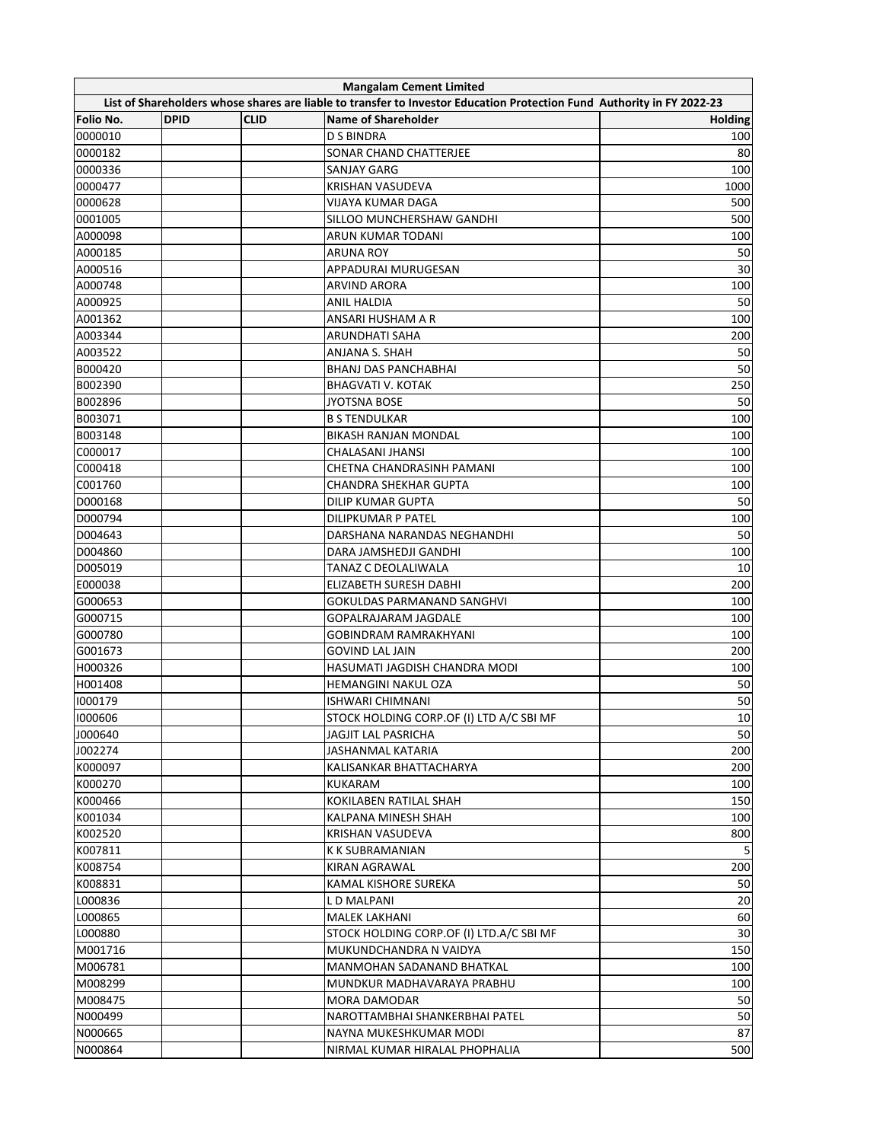|                                                                                                                        | <b>Mangalam Cement Limited</b> |             |                                          |                |  |  |  |  |
|------------------------------------------------------------------------------------------------------------------------|--------------------------------|-------------|------------------------------------------|----------------|--|--|--|--|
| List of Shareholders whose shares are liable to transfer to Investor Education Protection Fund Authority in FY 2022-23 |                                |             |                                          |                |  |  |  |  |
| Folio No.                                                                                                              | <b>DPID</b>                    | <b>CLID</b> | <b>Name of Shareholder</b>               | <b>Holding</b> |  |  |  |  |
| 0000010                                                                                                                |                                |             | <b>D S BINDRA</b>                        | 100            |  |  |  |  |
| 0000182                                                                                                                |                                |             | SONAR CHAND CHATTERJEE                   | 80             |  |  |  |  |
| 0000336                                                                                                                |                                |             | SANJAY GARG                              | 100            |  |  |  |  |
| 0000477                                                                                                                |                                |             | KRISHAN VASUDEVA                         | 1000           |  |  |  |  |
| 0000628                                                                                                                |                                |             | VIJAYA KUMAR DAGA                        | 500            |  |  |  |  |
| 0001005                                                                                                                |                                |             | SILLOO MUNCHERSHAW GANDHI                | 500            |  |  |  |  |
| A000098                                                                                                                |                                |             | ARUN KUMAR TODANI                        | 100            |  |  |  |  |
| A000185                                                                                                                |                                |             | ARUNA ROY                                | 50             |  |  |  |  |
| A000516                                                                                                                |                                |             | APPADURAI MURUGESAN                      | 30             |  |  |  |  |
| A000748                                                                                                                |                                |             | <b>ARVIND ARORA</b>                      | 100            |  |  |  |  |
| A000925                                                                                                                |                                |             | ANIL HALDIA                              | 50             |  |  |  |  |
| A001362                                                                                                                |                                |             | ANSARI HUSHAM A R                        | 100            |  |  |  |  |
| A003344                                                                                                                |                                |             | ARUNDHATI SAHA                           | 200            |  |  |  |  |
| A003522                                                                                                                |                                |             | ANJANA S. SHAH                           | 50             |  |  |  |  |
| B000420                                                                                                                |                                |             | BHANJ DAS PANCHABHAI                     | 50             |  |  |  |  |
| B002390                                                                                                                |                                |             | <b>BHAGVATI V. KOTAK</b>                 | 250            |  |  |  |  |
| B002896                                                                                                                |                                |             | <b>JYOTSNA BOSE</b>                      | 50             |  |  |  |  |
| B003071                                                                                                                |                                |             | <b>B S TENDULKAR</b>                     | 100            |  |  |  |  |
| B003148                                                                                                                |                                |             | <b>BIKASH RANJAN MONDAL</b>              | 100            |  |  |  |  |
| C000017                                                                                                                |                                |             | CHALASANI JHANSI                         |                |  |  |  |  |
| C000418                                                                                                                |                                |             | CHETNA CHANDRASINH PAMANI                | 100            |  |  |  |  |
|                                                                                                                        |                                |             |                                          | 100            |  |  |  |  |
| C001760                                                                                                                |                                |             | <b>CHANDRA SHEKHAR GUPTA</b>             | 100            |  |  |  |  |
| D000168                                                                                                                |                                |             | DILIP KUMAR GUPTA                        | 50             |  |  |  |  |
| D000794                                                                                                                |                                |             | DILIPKUMAR P PATEL                       | 100            |  |  |  |  |
| D004643                                                                                                                |                                |             | DARSHANA NARANDAS NEGHANDHI              | 50             |  |  |  |  |
| D004860                                                                                                                |                                |             | DARA JAMSHEDJI GANDHI                    | 100            |  |  |  |  |
| D005019                                                                                                                |                                |             | TANAZ C DEOLALIWALA                      | 10             |  |  |  |  |
| E000038                                                                                                                |                                |             | ELIZABETH SURESH DABHI                   | 200            |  |  |  |  |
| G000653                                                                                                                |                                |             | GOKULDAS PARMANAND SANGHVI               | 100            |  |  |  |  |
| G000715                                                                                                                |                                |             | GOPALRAJARAM JAGDALE                     | 100            |  |  |  |  |
| G000780                                                                                                                |                                |             | <b>GOBINDRAM RAMRAKHYANI</b>             | 100            |  |  |  |  |
| G001673                                                                                                                |                                |             | <b>GOVIND LAL JAIN</b>                   | 200            |  |  |  |  |
| H000326                                                                                                                |                                |             | HASUMATI JAGDISH CHANDRA MODI            | 100            |  |  |  |  |
| H001408                                                                                                                |                                |             | HEMANGINI NAKUL OZA                      | 50             |  |  |  |  |
| 1000179                                                                                                                |                                |             | <b>ISHWARI CHIMNANI</b>                  | 50             |  |  |  |  |
| 1000606                                                                                                                |                                |             | STOCK HOLDING CORP.OF (I) LTD A/C SBI MF | 10             |  |  |  |  |
| J000640                                                                                                                |                                |             | JAGJIT LAL PASRICHA                      | 50             |  |  |  |  |
| J002274                                                                                                                |                                |             | JASHANMAL KATARIA                        | 200            |  |  |  |  |
| K000097                                                                                                                |                                |             | KALISANKAR BHATTACHARYA                  | 200            |  |  |  |  |
| K000270                                                                                                                |                                |             | KUKARAM                                  | 100            |  |  |  |  |
| K000466                                                                                                                |                                |             | KOKILABEN RATILAL SHAH                   | 150            |  |  |  |  |
| K001034                                                                                                                |                                |             | KALPANA MINESH SHAH                      | 100            |  |  |  |  |
| K002520                                                                                                                |                                |             | KRISHAN VASUDEVA                         | 800            |  |  |  |  |
| K007811                                                                                                                |                                |             | K K SUBRAMANIAN                          | 5              |  |  |  |  |
| K008754                                                                                                                |                                |             | KIRAN AGRAWAL                            | 200            |  |  |  |  |
| K008831                                                                                                                |                                |             | KAMAL KISHORE SUREKA                     | 50             |  |  |  |  |
| L000836                                                                                                                |                                |             | L D MALPANI                              | 20             |  |  |  |  |
| L000865                                                                                                                |                                |             | MALEK LAKHANI                            | 60             |  |  |  |  |
| L000880                                                                                                                |                                |             | STOCK HOLDING CORP.OF (I) LTD.A/C SBI MF | 30             |  |  |  |  |
|                                                                                                                        |                                |             |                                          |                |  |  |  |  |
| M001716                                                                                                                |                                |             | MUKUNDCHANDRA N VAIDYA                   | 150            |  |  |  |  |
| M006781                                                                                                                |                                |             | MANMOHAN SADANAND BHATKAL                | 100            |  |  |  |  |
| M008299                                                                                                                |                                |             | MUNDKUR MADHAVARAYA PRABHU               | 100            |  |  |  |  |
| M008475                                                                                                                |                                |             | MORA DAMODAR                             | 50             |  |  |  |  |
| N000499                                                                                                                |                                |             | NAROTTAMBHAI SHANKERBHAI PATEL           | 50             |  |  |  |  |
| N000665                                                                                                                |                                |             | NAYNA MUKESHKUMAR MODI                   | 87             |  |  |  |  |
| N000864                                                                                                                |                                |             | NIRMAL KUMAR HIRALAL PHOPHALIA           | 500            |  |  |  |  |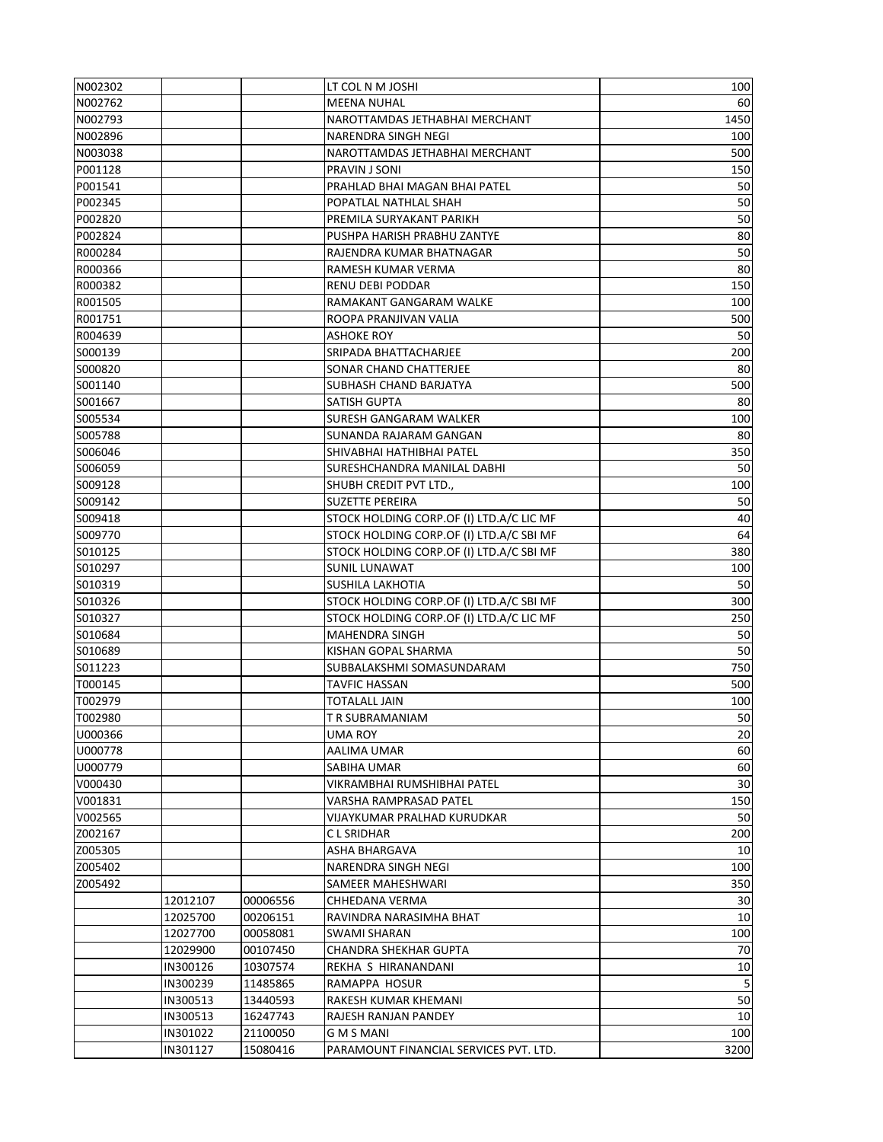| N002302            |          |          | LT COL N M JOSHI                                         | 100       |
|--------------------|----------|----------|----------------------------------------------------------|-----------|
| N002762            |          |          | <b>MEENA NUHAL</b>                                       | 60        |
| N002793            |          |          | NAROTTAMDAS JETHABHAI MERCHANT                           | 1450      |
| N002896            |          |          | NARENDRA SINGH NEGI                                      | 100       |
| N003038            |          |          | NAROTTAMDAS JETHABHAI MERCHANT                           | 500       |
| P001128            |          |          | PRAVIN J SONI                                            | 150       |
| P001541            |          |          | PRAHLAD BHAI MAGAN BHAI PATEL                            | 50        |
| P002345            |          |          | POPATLAL NATHLAL SHAH                                    | 50        |
| P002820            |          |          | PREMILA SURYAKANT PARIKH                                 | 50        |
| P002824            |          |          | PUSHPA HARISH PRABHU ZANTYE                              | 80        |
| R000284            |          |          | RAJENDRA KUMAR BHATNAGAR                                 | 50        |
| R000366            |          |          | RAMESH KUMAR VERMA                                       | 80        |
| R000382            |          |          | <b>RENU DEBI PODDAR</b>                                  | 150       |
| R001505            |          |          | RAMAKANT GANGARAM WALKE                                  | 100       |
| R001751            |          |          | ROOPA PRANJIVAN VALIA                                    | 500       |
| R004639            |          |          | ASHOKE ROY                                               | 50        |
| S000139            |          |          | SRIPADA BHATTACHARJEE                                    | 200       |
| S000820            |          |          | SONAR CHAND CHATTERJEE                                   | 80        |
| S001140            |          |          | SUBHASH CHAND BARJATYA                                   | 500       |
| S001667            |          |          | SATISH GUPTA                                             | 80        |
| S005534            |          |          | SURESH GANGARAM WALKER                                   | 100       |
| S005788            |          |          | SUNANDA RAJARAM GANGAN                                   | 80        |
|                    |          |          |                                                          | 350       |
| S006046            |          |          | SHIVABHAI HATHIBHAI PATEL<br>SURESHCHANDRA MANILAL DABHI | 50        |
| S006059            |          |          |                                                          |           |
| S009128            |          |          | SHUBH CREDIT PVT LTD.,                                   | 100       |
| S009142            |          |          | SUZETTE PEREIRA                                          | 50        |
| S009418            |          |          | STOCK HOLDING CORP.OF (I) LTD.A/C LIC MF                 | 40        |
| S009770            |          |          | STOCK HOLDING CORP.OF (I) LTD.A/C SBI MF                 | 64        |
| S010125            |          |          | STOCK HOLDING CORP.OF (I) LTD.A/C SBI MF                 | 380       |
| S010297<br>S010319 |          |          | SUNIL LUNAWAT<br>SUSHILA LAKHOTIA                        | 100<br>50 |
| S010326            |          |          | STOCK HOLDING CORP.OF (I) LTD.A/C SBI MF                 | 300       |
| S010327            |          |          | STOCK HOLDING CORP.OF (I) LTD.A/C LIC MF                 | 250       |
| S010684            |          |          | <b>MAHENDRA SINGH</b>                                    | 50        |
| S010689            |          |          | KISHAN GOPAL SHARMA                                      | 50        |
| S011223            |          |          | SUBBALAKSHMI SOMASUNDARAM                                | 750       |
| T000145            |          |          |                                                          | 500       |
| T002979            |          |          | TAVFIC HASSAN<br><b>TOTALALL JAIN</b>                    | 100       |
| T002980            |          |          | T R SUBRAMANIAM                                          | 50        |
| U000366            |          |          | UMA ROY                                                  | 20        |
| U000778            |          |          | AALIMA UMAR                                              | 60        |
| U000779            |          |          | SABIHA UMAR                                              | 60        |
| V000430            |          |          | VIKRAMBHAI RUMSHIBHAI PATEL                              | 30        |
| V001831            |          |          | VARSHA RAMPRASAD PATEL                                   | 150       |
| V002565            |          |          | <b>VIJAYKUMAR PRALHAD KURUDKAR</b>                       | 50        |
| Z002167            |          |          | C L SRIDHAR                                              | 200       |
| Z005305            |          |          | <b>ASHA BHARGAVA</b>                                     | 10        |
| Z005402            |          |          | NARENDRA SINGH NEGI                                      | 100       |
| Z005492            |          |          | SAMEER MAHESHWARI                                        | 350       |
|                    | 12012107 | 00006556 | CHHEDANA VERMA                                           | 30        |
|                    | 12025700 | 00206151 | RAVINDRA NARASIMHA BHAT                                  | 10        |
|                    | 12027700 | 00058081 | SWAMI SHARAN                                             | 100       |
|                    | 12029900 | 00107450 | CHANDRA SHEKHAR GUPTA                                    | 70        |
|                    | IN300126 | 10307574 | REKHA S HIRANANDANI                                      | 10        |
|                    | IN300239 | 11485865 | RAMAPPA HOSUR                                            | 5         |
|                    | IN300513 | 13440593 | RAKESH KUMAR KHEMANI                                     | 50        |
|                    | IN300513 | 16247743 | RAJESH RANJAN PANDEY                                     | 10        |
|                    | IN301022 | 21100050 | G M S MANI                                               | 100       |
|                    | IN301127 | 15080416 | PARAMOUNT FINANCIAL SERVICES PVT. LTD.                   | 3200      |
|                    |          |          |                                                          |           |